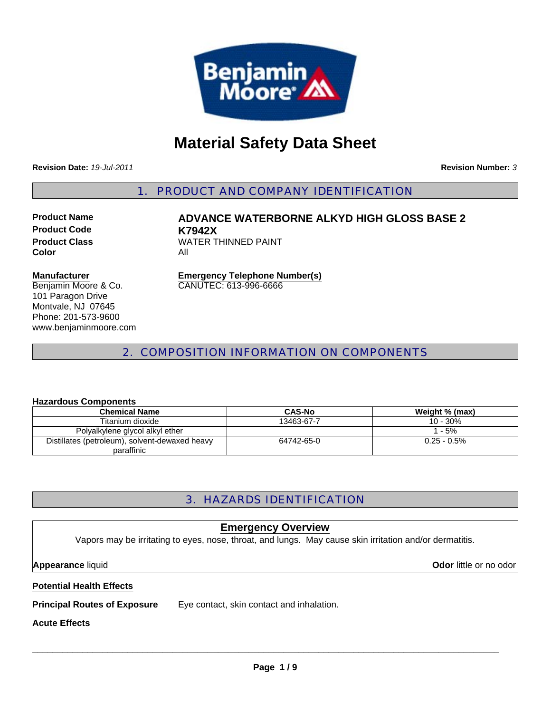

# **Material Safety Data Sheet**

**Revision Date:** *19-Jul-2011*

**Revision Number:** *3*

1. PRODUCT AND COMPANY IDENTIFICATION

**Product Code K7942X Color** All

**Product Name ADVANCE WATERBORNE ALKYD HIGH GLOSS BASE 2 Product Class WATER THINNED PAINT** 

#### **Manufacturer**

Benjamin Moore & Co. 101 Paragon Drive Montvale, NJ 07645 Phone: 201-573-9600 www.benjaminmoore.com **Emergency Telephone Number(s)** CANUTEC: 613-996-6666

## 2. COMPOSITION INFORMATION ON COMPONENTS

#### **Hazardous Components**

| <b>Chemical Name</b>                           | <b>CAS-No</b> | Weight % (max) |
|------------------------------------------------|---------------|----------------|
| Titanium dioxide                               | 13463-67-7    | 10 - 30%       |
| Polyalkylene glycol alkyl ether                |               | 1 - 5%         |
| Distillates (petroleum), solvent-dewaxed heavy | 64742-65-0    | $0.25 - 0.5\%$ |
| paraffinic                                     |               |                |

## 3. HAZARDS IDENTIFICATION

#### **Emergency Overview**

Vapors may be irritating to eyes, nose, throat, and lungs. May cause skin irritation and/or dermatitis.

**Appearance** liquid **Odor** little or no odor

#### **Potential Health Effects**

**Principal Routes of Exposure** Eye contact, skin contact and inhalation.

#### **Acute Effects**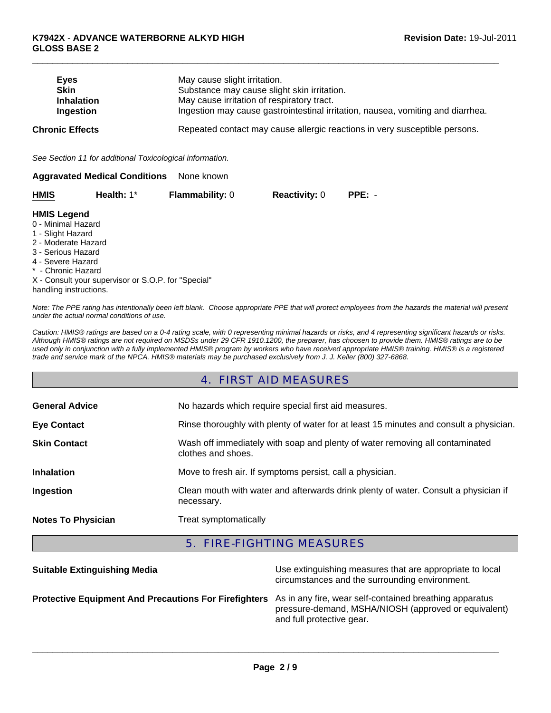| <b>Eyes</b>            | May cause slight irritation.                                                    |
|------------------------|---------------------------------------------------------------------------------|
| <b>Skin</b>            | Substance may cause slight skin irritation.                                     |
| <b>Inhalation</b>      | May cause irritation of respiratory tract.                                      |
| Ingestion              | Ingestion may cause gastrointestinal irritation, nausea, vomiting and diarrhea. |
| <b>Chronic Effects</b> | Repeated contact may cause allergic reactions in very susceptible persons.      |

 $\Box$ 

*See Section 11 for additional Toxicological information.*

| <b>Aggravated Medical Conditions</b> | None known |
|--------------------------------------|------------|
|--------------------------------------|------------|

| HMIS | Health: $1^*$ | <b>Flammability: 0</b> | <b>Reactivity: 0</b> | $PPE: -$ |
|------|---------------|------------------------|----------------------|----------|
|      |               |                        |                      |          |

#### **HMIS Legend**

- 0 Minimal Hazard
- 1 Slight Hazard
- 2 Moderate Hazard
- 3 Serious Hazard
- 4 Severe Hazard
- \* Chronic Hazard

X - Consult your supervisor or S.O.P. for "Special" handling instructions.

*Note: The PPE rating has intentionally been left blank. Choose appropriate PPE that will protect employees from the hazards the material will present under the actual normal conditions of use.*

*Caution: HMIS® ratings are based on a 0-4 rating scale, with 0 representing minimal hazards or risks, and 4 representing significant hazards or risks. Although HMIS® ratings are not required on MSDSs under 29 CFR 1910.1200, the preparer, has choosen to provide them. HMIS® ratings are to be used only in conjunction with a fully implemented HMIS® program by workers who have received appropriate HMIS® training. HMIS® is a registered trade and service mark of the NPCA. HMIS® materials may be purchased exclusively from J. J. Keller (800) 327-6868.*

## 4. FIRST AID MEASURES

| <b>General Advice</b>     | No hazards which require special first aid measures.                                               |
|---------------------------|----------------------------------------------------------------------------------------------------|
| <b>Eye Contact</b>        | Rinse thoroughly with plenty of water for at least 15 minutes and consult a physician.             |
| <b>Skin Contact</b>       | Wash off immediately with soap and plenty of water removing all contaminated<br>clothes and shoes. |
| <b>Inhalation</b>         | Move to fresh air. If symptoms persist, call a physician.                                          |
| Ingestion                 | Clean mouth with water and afterwards drink plenty of water. Consult a physician if<br>necessary.  |
| <b>Notes To Physician</b> | Treat symptomatically                                                                              |

## 5. FIRE-FIGHTING MEASURES

| <b>Suitable Extinguishing Media</b>                                                                           | Use extinguishing measures that are appropriate to local<br>circumstances and the surrounding environment. |
|---------------------------------------------------------------------------------------------------------------|------------------------------------------------------------------------------------------------------------|
| Protective Equipment And Precautions For Firefighters As in any fire, wear self-contained breathing apparatus | pressure-demand, MSHA/NIOSH (approved or equivalent)<br>and full protective gear.                          |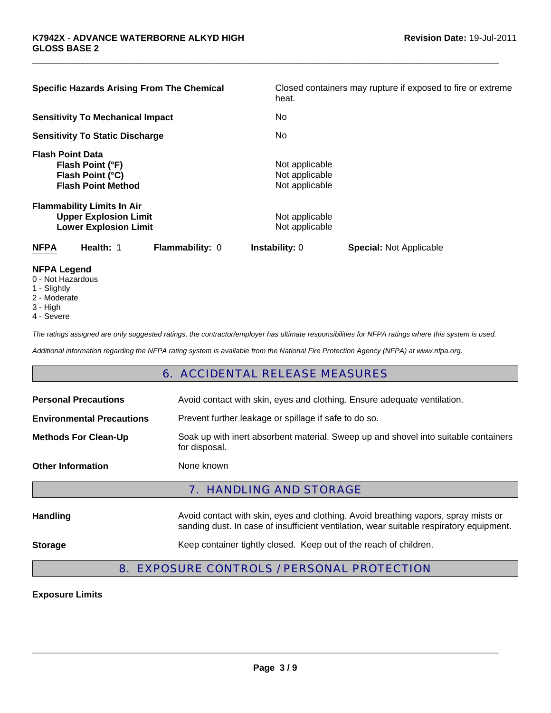| <b>Specific Hazards Arising From The Chemical</b>                                                 | Closed containers may rupture if exposed to fire or extreme<br>heat. |
|---------------------------------------------------------------------------------------------------|----------------------------------------------------------------------|
| <b>Sensitivity To Mechanical Impact</b>                                                           | No.                                                                  |
| <b>Sensitivity To Static Discharge</b>                                                            | No.                                                                  |
| <b>Flash Point Data</b><br>Flash Point (°F)<br>Flash Point (°C)<br><b>Flash Point Method</b>      | Not applicable<br>Not applicable<br>Not applicable                   |
| <b>Flammability Limits In Air</b><br><b>Upper Explosion Limit</b><br><b>Lower Explosion Limit</b> | Not applicable<br>Not applicable                                     |
| <b>NFPA</b><br>Health: 1<br><b>Flammability: 0</b>                                                | <b>Instability: 0</b><br><b>Special: Not Applicable</b>              |

 $\Box$ 

- **NFPA Legend**
- 0 Not Hazardous
- 1 Slightly
- 2 Moderate
- 3 High
- 4 Severe

*The ratings assigned are only suggested ratings, the contractor/employer has ultimate responsibilities for NFPA ratings where this system is used.*

*Additional information regarding the NFPA rating system is available from the National Fire Protection Agency (NFPA) at www.nfpa.org.*

#### 6. ACCIDENTAL RELEASE MEASURES

| <b>Personal Precautions</b>      | Avoid contact with skin, eyes and clothing. Ensure adequate ventilation.                                                                                                      |
|----------------------------------|-------------------------------------------------------------------------------------------------------------------------------------------------------------------------------|
| <b>Environmental Precautions</b> | Prevent further leakage or spillage if safe to do so.                                                                                                                         |
| <b>Methods For Clean-Up</b>      | Soak up with inert absorbent material. Sweep up and shovel into suitable containers<br>for disposal.                                                                          |
| <b>Other Information</b>         | None known                                                                                                                                                                    |
|                                  |                                                                                                                                                                               |
|                                  | <b>7. HANDLING AND STORAGE</b>                                                                                                                                                |
| <b>Handling</b>                  | Avoid contact with skin, eyes and clothing. Avoid breathing vapors, spray mists or<br>sanding dust. In case of insufficient ventilation, wear suitable respiratory equipment. |

## 8. EXPOSURE CONTROLS / PERSONAL PROTECTION

**Exposure Limits**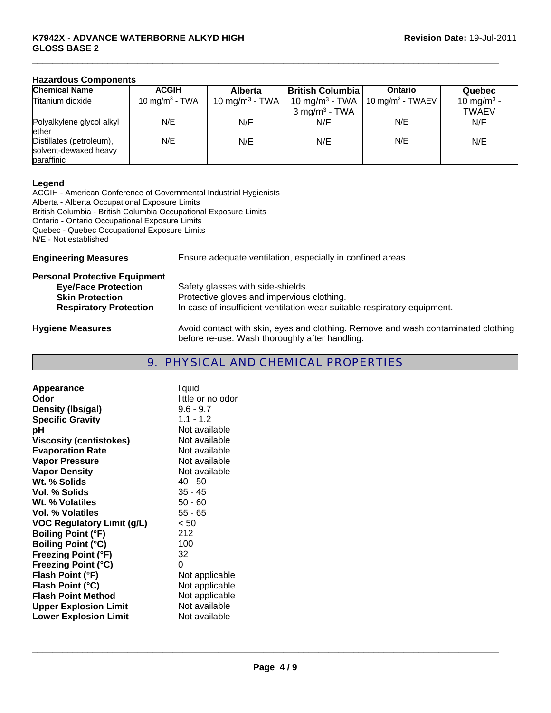#### **K7942X** - **ADVANCE WATERBORNE ALKYD HIGH GLOSS BASE 2**

### **Hazardous Components**

| <b>Chemical Name</b>                                            | <b>ACGIH</b>               | <b>Alberta</b>             | <b>British Columbia</b>    | <b>Ontario</b>               | Quebec                 |
|-----------------------------------------------------------------|----------------------------|----------------------------|----------------------------|------------------------------|------------------------|
| Titanium dioxide                                                | 10 mg/m <sup>3</sup> - TWA | 10 mg/m <sup>3</sup> - TWA | 10 mg/m <sup>3</sup> - TWA | 10 mg/m <sup>3</sup> - TWAEV | 10 mg/m <sup>3</sup> - |
|                                                                 |                            |                            | $3 \text{ mg/m}^3$ - TWA   |                              | <b>TWAEV</b>           |
| Polyalkylene glycol alkyl<br>ether                              | N/E                        | N/E                        | N/E                        | N/E                          | N/E                    |
| Distillates (petroleum),<br>solvent-dewaxed heavy<br>paraffinic | N/E                        | N/E                        | N/E                        | N/E                          | N/E                    |

 $\Box$ 

#### **Legend**

ACGIH - American Conference of Governmental Industrial Hygienists Alberta - Alberta Occupational Exposure Limits British Columbia - British Columbia Occupational Exposure Limits Ontario - Ontario Occupational Exposure Limits Quebec - Quebec Occupational Exposure Limits N/E - Not established

**Engineering Measures** Ensure adequate ventilation, especially in confined areas.

| <b>Personal Protective Equipment</b> |                                                                                                                                     |
|--------------------------------------|-------------------------------------------------------------------------------------------------------------------------------------|
| <b>Eye/Face Protection</b>           | Safety glasses with side-shields.                                                                                                   |
| <b>Skin Protection</b>               | Protective gloves and impervious clothing.                                                                                          |
| <b>Respiratory Protection</b>        | In case of insufficient ventilation wear suitable respiratory equipment.                                                            |
| <b>Hygiene Measures</b>              | Avoid contact with skin, eyes and clothing. Remove and wash contaminated clothing<br>before re-use. Wash thoroughly after handling. |

## 9. PHYSICAL AND CHEMICAL PROPERTIES

| Appearance                        | liquid            |
|-----------------------------------|-------------------|
| Odor                              | little or no odor |
| Density (Ibs/gal)                 | $9.6 - 9.7$       |
| <b>Specific Gravity</b>           | $1.1 - 1.2$       |
| рH                                | Not available     |
| <b>Viscosity (centistokes)</b>    | Not available     |
| <b>Evaporation Rate</b>           | Not available     |
| <b>Vapor Pressure</b>             | Not available     |
| <b>Vapor Density</b>              | Not available     |
| Wt. % Solids                      | 40 - 50           |
| <b>Vol. % Solids</b>              | $35 - 45$         |
| Wt. % Volatiles                   | $50 - 60$         |
| Vol. % Volatiles                  | $55 - 65$         |
| <b>VOC Regulatory Limit (g/L)</b> | < 50              |
| <b>Boiling Point (°F)</b>         | 212               |
| <b>Boiling Point (°C)</b>         | 100               |
| <b>Freezing Point (°F)</b>        | 32                |
| <b>Freezing Point (°C)</b>        | 0                 |
| Flash Point (°F)                  | Not applicable    |
| Flash Point (°C)                  | Not applicable    |
| <b>Flash Point Method</b>         | Not applicable    |
| <b>Upper Explosion Limit</b>      | Not available     |
| <b>Lower Explosion Limit</b>      | Not available     |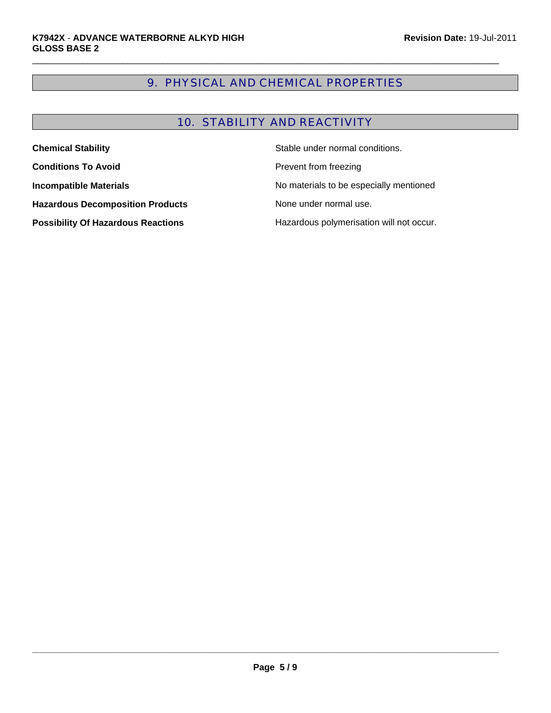## 9. PHYSICAL AND CHEMICAL PROPERTIES

 $\Box$ 

## 10. STABILITY AND REACTIVITY

| <b>Chemical Stability</b>                 | Stable under normal conditions.          |
|-------------------------------------------|------------------------------------------|
| <b>Conditions To Avoid</b>                | Prevent from freezing                    |
| <b>Incompatible Materials</b>             | No materials to be especially mentioned  |
| <b>Hazardous Decomposition Products</b>   | None under normal use.                   |
| <b>Possibility Of Hazardous Reactions</b> | Hazardous polymerisation will not occur. |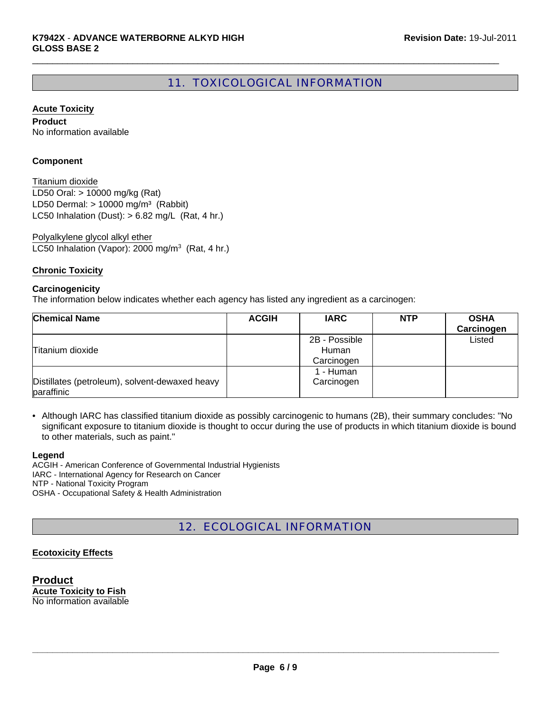## 11. TOXICOLOGICAL INFORMATION

 $\Box$ 

#### **Acute Toxicity**

**Product** No information available

#### **Component**

LD50 Oral: > 10000 mg/kg (Rat) LD50 Dermal:  $> 10000$  mg/m<sup>3</sup> (Rabbit) Titanium dioxide LC50 Inhalation (Dust):  $> 6.82$  mg/L (Rat, 4 hr.)

LC50 Inhalation (Vapor): 2000 mg/m<sup>3</sup> (Rat, 4 hr.) Polyalkylene glycol alkyl ether

#### **Chronic Toxicity**

#### **Carcinogenicity**

The information below indicates whether each agency has listed any ingredient as a carcinogen:

| <b>Chemical Name</b>                                         | <b>ACGIH</b> | <b>IARC</b>                          | <b>NTP</b> | <b>OSHA</b><br>Carcinogen |
|--------------------------------------------------------------|--------------|--------------------------------------|------------|---------------------------|
| Titanium dioxide                                             |              | 2B - Possible<br>Human<br>Carcinogen |            | Listed                    |
| Distillates (petroleum), solvent-dewaxed heavy<br>paraffinic |              | 1 - Human<br>Carcinogen              |            |                           |

• Although IARC has classified titanium dioxide as possibly carcinogenic to humans (2B), their summary concludes: "No significant exposure to titanium dioxide is thought to occur during the use of products in which titanium dioxide is bound to other materials, such as paint."

#### **Legend**

ACGIH - American Conference of Governmental Industrial Hygienists IARC - International Agency for Research on Cancer NTP - National Toxicity Program OSHA - Occupational Safety & Health Administration

## 12. ECOLOGICAL INFORMATION

#### **Ecotoxicity Effects**

**Product Acute Toxicity to Fish** No information available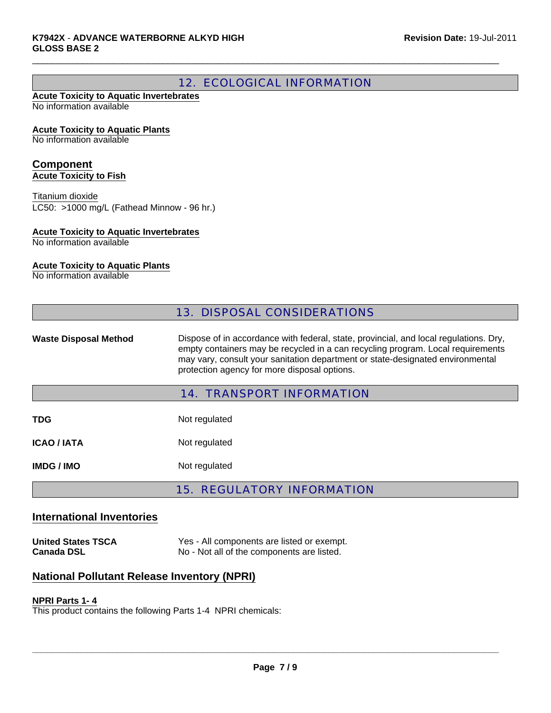## 12. ECOLOGICAL INFORMATION

 $\Box$ 

#### **Acute Toxicity to Aquatic Invertebrates** No information available

#### **Acute Toxicity to Aquatic Plants**

No information available

#### **Component Acute Toxicity to Fish**

LC50: >1000 mg/L (Fathead Minnow - 96 hr.) Titanium dioxide

#### **Acute Toxicity to Aquatic Invertebrates**

No information available

#### **Acute Toxicity to Aquatic Plants**

No information available

|                              | <b>13. DISPOSAL CONSIDERATIONS</b>                                                                                                                                                                                                                                                                         |
|------------------------------|------------------------------------------------------------------------------------------------------------------------------------------------------------------------------------------------------------------------------------------------------------------------------------------------------------|
| <b>Waste Disposal Method</b> | Dispose of in accordance with federal, state, provincial, and local regulations. Dry,<br>empty containers may be recycled in a can recycling program. Local requirements<br>may vary, consult your sanitation department or state-designated environmental<br>protection agency for more disposal options. |
|                              | <b>14. TRANSPORT INFORMATION</b>                                                                                                                                                                                                                                                                           |
| TDG                          | Not regulated                                                                                                                                                                                                                                                                                              |
| <b>ICAO / IATA</b>           | Not regulated                                                                                                                                                                                                                                                                                              |
| <b>IMDG/IMO</b>              | Not regulated                                                                                                                                                                                                                                                                                              |

## 15. REGULATORY INFORMATION

## **International Inventories**

**United States TSCA** Yes - All components are listed or exempt.<br> **Canada DSL No - Not all of the components are listed.** No - Not all of the components are listed.

## **National Pollutant Release Inventory (NPRI)**

#### **NPRI Parts 1- 4**

This product contains the following Parts 1-4 NPRI chemicals: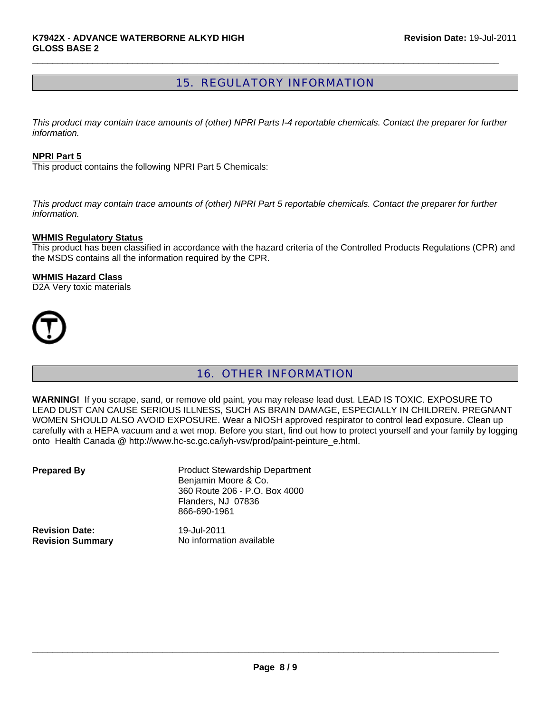## 15. REGULATORY INFORMATION

 $\Box$ 

*This product may contain trace amounts of (other) NPRI Parts I-4 reportable chemicals. Contact the preparer for further information.*

#### **NPRI Part 5**

This product contains the following NPRI Part 5 Chemicals:

*This product may contain trace amounts of (other) NPRI Part 5 reportable chemicals. Contact the preparer for further information.*

#### **WHMIS Regulatory Status**

This product has been classified in accordance with the hazard criteria of the Controlled Products Regulations (CPR) and the MSDS contains all the information required by the CPR.

#### **WHMIS Hazard Class**

D2A Very toxic materials



## 16. OTHER INFORMATION

**WARNING!** If you scrape, sand, or remove old paint, you may release lead dust. LEAD IS TOXIC. EXPOSURE TO LEAD DUST CAN CAUSE SERIOUS ILLNESS, SUCH AS BRAIN DAMAGE, ESPECIALLY IN CHILDREN. PREGNANT WOMEN SHOULD ALSO AVOID EXPOSURE. Wear a NIOSH approved respirator to control lead exposure. Clean up carefully with a HEPA vacuum and a wet mop. Before you start, find out how to protect yourself and your family by logging onto Health Canada @ http://www.hc-sc.gc.ca/iyh-vsv/prod/paint-peinture\_e.html.

| <b>Prepared By</b>      | <b>Product Stewardship Department</b><br>Benjamin Moore & Co.<br>360 Route 206 - P.O. Box 4000<br>Flanders, NJ 07836<br>866-690-1961 |
|-------------------------|--------------------------------------------------------------------------------------------------------------------------------------|
| <b>Revision Date:</b>   | 19-Jul-2011                                                                                                                          |
| <b>Revision Summary</b> | No information available                                                                                                             |